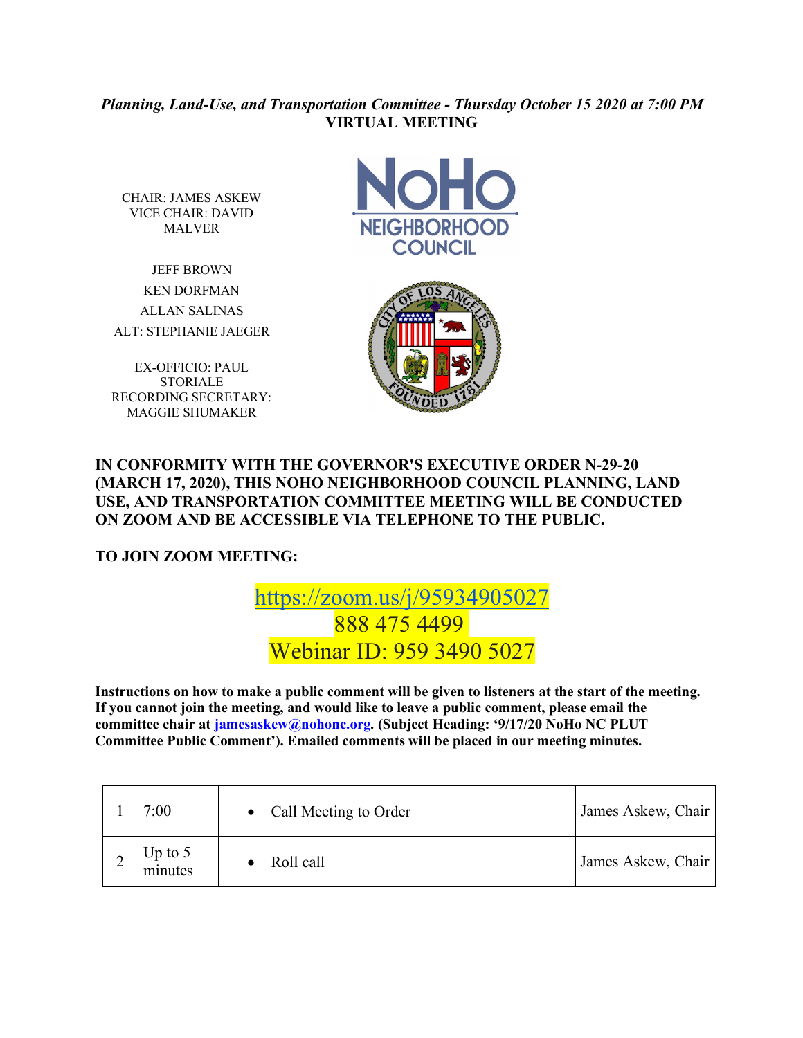## *Planning, Land-Use, and Transportation Committee - Thursday October 15 2020 at 7:00 PM* **VIRTUAL MEETING**

CHAIR: JAMES ASKEW VICE CHAIR: DAVID MALVER

JEFF BROWN KEN DORFMAN ALLAN SALINAS ALT: STEPHANIE JAEGER

EX-OFFICIO: PAUL **STORIALE** RECORDING SECRETARY: MAGGIE SHUMAKER





## **IN CONFORMITY WITH THE GOVERNOR'S EXECUTIVE ORDER N-29-20 (MARCH 17, 2020), THIS NOHO NEIGHBORHOOD COUNCIL PLANNING, LAND USE, AND TRANSPORTATION COMMITTEE MEETING WILL BE CONDUCTED ON ZOOM AND BE ACCESSIBLE VIA TELEPHONE TO THE PUBLIC.**

**TO JOIN ZOOM MEETING:** 

## https://zoom.us/j/95934905027 888 475 4499 Webinar ID: 959 3490 5027

**Instructions on how to make a public comment will be given to listeners at the start of the meeting. If you cannot join the meeting, and would like to leave a public comment, please email the committee chair at jamesaskew@nohonc.org. (Subject Heading: '9/17/20 NoHo NC PLUT Committee Public Comment'). Emailed comments will be placed in our meeting minutes.** 

| 7:00                 | • Call Meeting to Order | James Askew, Chair |
|----------------------|-------------------------|--------------------|
| Up to $5$<br>minutes | Roll call               | James Askew, Chair |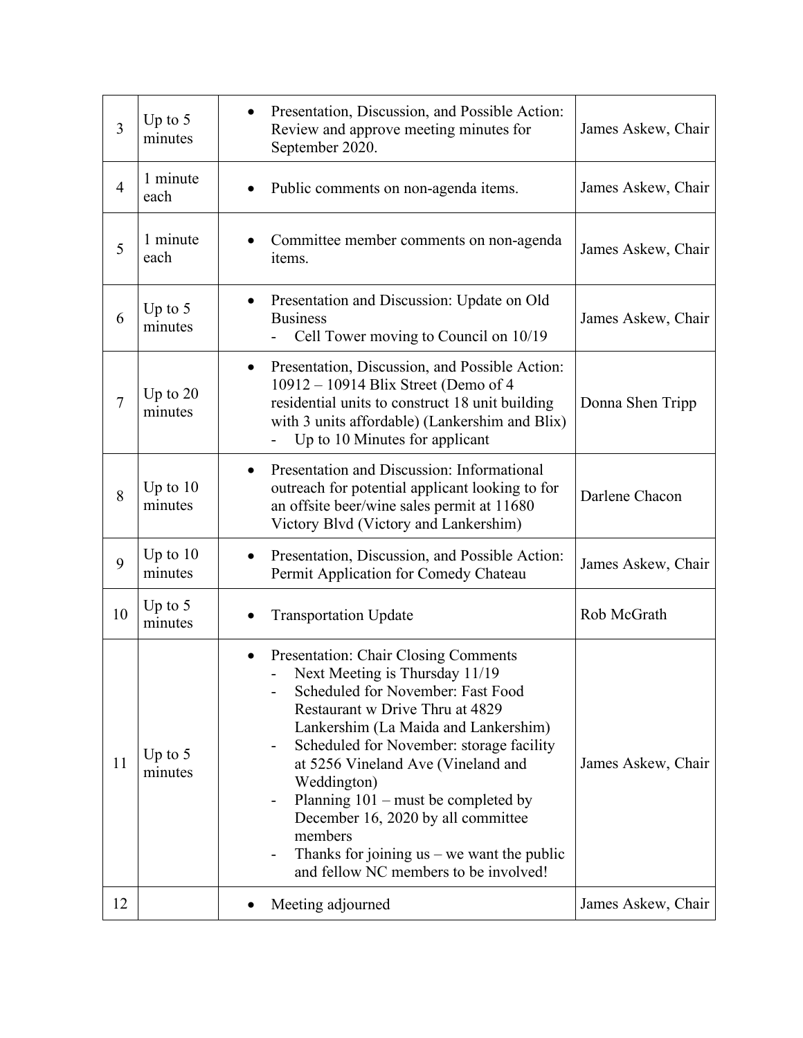| $\overline{3}$ | Up to $5$<br>minutes  | Presentation, Discussion, and Possible Action:<br>Review and approve meeting minutes for<br>September 2020.                                                                                                                                                                                                                                                                                                                                                                             | James Askew, Chair |
|----------------|-----------------------|-----------------------------------------------------------------------------------------------------------------------------------------------------------------------------------------------------------------------------------------------------------------------------------------------------------------------------------------------------------------------------------------------------------------------------------------------------------------------------------------|--------------------|
| $\overline{4}$ | 1 minute<br>each      | Public comments on non-agenda items.                                                                                                                                                                                                                                                                                                                                                                                                                                                    | James Askew, Chair |
| 5              | 1 minute<br>each      | Committee member comments on non-agenda<br>items.                                                                                                                                                                                                                                                                                                                                                                                                                                       | James Askew, Chair |
| 6              | Up to $5$<br>minutes  | Presentation and Discussion: Update on Old<br><b>Business</b><br>Cell Tower moving to Council on 10/19                                                                                                                                                                                                                                                                                                                                                                                  | James Askew, Chair |
| $\overline{7}$ | Up to $20$<br>minutes | Presentation, Discussion, and Possible Action:<br>$\bullet$<br>10912 - 10914 Blix Street (Demo of 4<br>residential units to construct 18 unit building<br>with 3 units affordable) (Lankershim and Blix)<br>Up to 10 Minutes for applicant                                                                                                                                                                                                                                              | Donna Shen Tripp   |
| 8              | Up to $10$<br>minutes | Presentation and Discussion: Informational<br>$\bullet$<br>outreach for potential applicant looking to for<br>an offsite beer/wine sales permit at 11680<br>Victory Blvd (Victory and Lankershim)                                                                                                                                                                                                                                                                                       | Darlene Chacon     |
| 9              | Up to $10$<br>minutes | Presentation, Discussion, and Possible Action:<br>$\bullet$<br>Permit Application for Comedy Chateau                                                                                                                                                                                                                                                                                                                                                                                    | James Askew, Chair |
| 10             | Up to $5$<br>minutes  | <b>Transportation Update</b>                                                                                                                                                                                                                                                                                                                                                                                                                                                            | Rob McGrath        |
| 11             | Up to $5$<br>minutes  | Presentation: Chair Closing Comments<br>$\bullet$<br>Next Meeting is Thursday 11/19<br>Scheduled for November: Fast Food<br>Restaurant w Drive Thru at 4829<br>Lankershim (La Maida and Lankershim)<br>Scheduled for November: storage facility<br>at 5256 Vineland Ave (Vineland and<br>Weddington)<br>Planning $101$ – must be completed by<br>December 16, 2020 by all committee<br>members<br>Thanks for joining $us - we$ want the public<br>and fellow NC members to be involved! | James Askew, Chair |
| 12             |                       | Meeting adjourned                                                                                                                                                                                                                                                                                                                                                                                                                                                                       | James Askew, Chair |